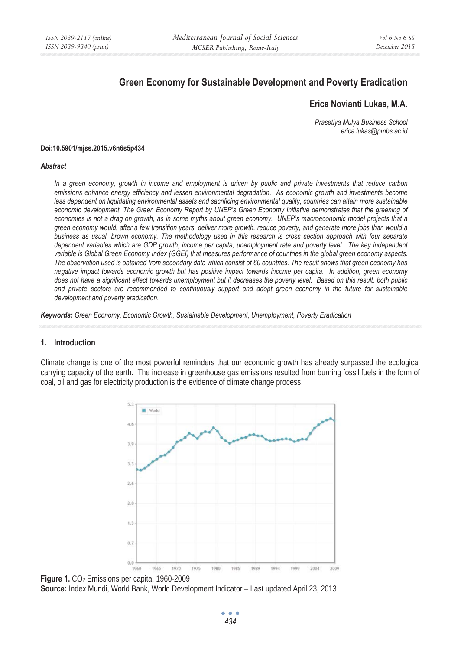# **Green Economy for Sustainable Development and Poverty Eradication**

# **Erica Novianti Lukas, M.A.**

*Prasetiya Mulya Business School erica.lukas@pmbs.ac.id* 

#### **Doi:10.5901/mjss.2015.v6n6s5p434**

#### *Abstract*

*In a green economy, growth in income and employment is driven by public and private investments that reduce carbon emissions enhance energy efficiency and lessen environmental degradation. As economic growth and investments become less dependent on liquidating environmental assets and sacrificing environmental quality, countries can attain more sustainable economic development. The Green Economy Report by UNEP's Green Economy Initiative demonstrates that the greening of economies is not a drag on growth, as in some myths about green economy. UNEP's macroeconomic model projects that a green economy would, after a few transition years, deliver more growth, reduce poverty, and generate more jobs than would a business as usual, brown economy. The methodology used in this research is cross section approach with four separate dependent variables which are GDP growth, income per capita, unemployment rate and poverty level. The key independent variable is Global Green Economy Index (GGEI) that measures performance of countries in the global green economy aspects. The observation used is obtained from secondary data which consist of 60 countries. The result shows that green economy has negative impact towards economic growth but has positive impact towards income per capita. In addition, green economy does not have a significant effect towards unemployment but it decreases the poverty level. Based on this result, both public*  and private sectors are recommended to continuously support and adopt green economy in the future for sustainable *development and poverty eradication.* 

*Keywords: Green Economy, Economic Growth, Sustainable Development, Unemployment, Poverty Eradication* 

#### **1. Introduction**

Climate change is one of the most powerful reminders that our economic growth has already surpassed the ecological carrying capacity of the earth. The increase in greenhouse gas emissions resulted from burning fossil fuels in the form of coal, oil and gas for electricity production is the evidence of climate change process.



**Figure 1.** CO2 Emissions per capita, 1960-2009 **Source:** Index Mundi, World Bank, World Development Indicator – Last updated April 23, 2013

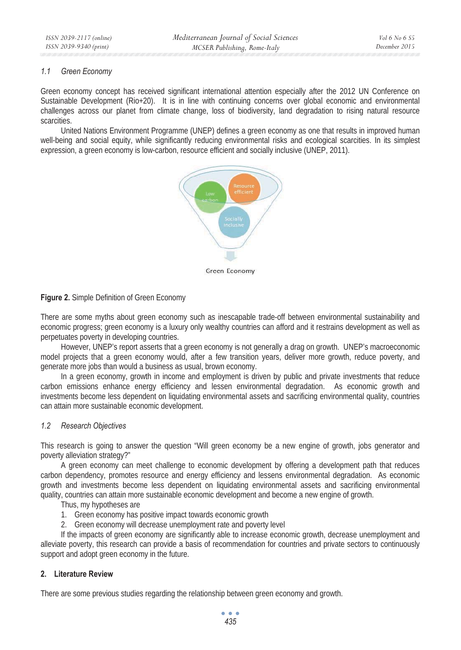#### *1.1 Green Economy*

Green economy concept has received significant international attention especially after the 2012 UN Conference on Sustainable Development (Rio+20). It is in line with continuing concerns over global economic and environmental challenges across our planet from climate change, loss of biodiversity, land degradation to rising natural resource scarcities.

United Nations Environment Programme (UNEP) defines a green economy as one that results in improved human well-being and social equity, while significantly reducing environmental risks and ecological scarcities. In its simplest expression, a green economy is low-carbon, resource efficient and socially inclusive (UNEP, 2011).



# **Figure 2.** Simple Definition of Green Economy

There are some myths about green economy such as inescapable trade-off between environmental sustainability and economic progress; green economy is a luxury only wealthy countries can afford and it restrains development as well as perpetuates poverty in developing countries.

However, UNEP's report asserts that a green economy is not generally a drag on growth. UNEP's macroeconomic model projects that a green economy would, after a few transition years, deliver more growth, reduce poverty, and generate more jobs than would a business as usual, brown economy.

In a green economy, growth in income and employment is driven by public and private investments that reduce carbon emissions enhance energy efficiency and lessen environmental degradation. As economic growth and investments become less dependent on liquidating environmental assets and sacrificing environmental quality, countries can attain more sustainable economic development.

# *1.2 Research Objectives*

This research is going to answer the question "Will green economy be a new engine of growth, jobs generator and poverty alleviation strategy?"

A green economy can meet challenge to economic development by offering a development path that reduces carbon dependency, promotes resource and energy efficiency and lessens environmental degradation. As economic growth and investments become less dependent on liquidating environmental assets and sacrificing environmental quality, countries can attain more sustainable economic development and become a new engine of growth.

Thus, my hypotheses are

- 1. Green economy has positive impact towards economic growth
- 2. Green economy will decrease unemployment rate and poverty level

If the impacts of green economy are significantly able to increase economic growth, decrease unemployment and alleviate poverty, this research can provide a basis of recommendation for countries and private sectors to continuously support and adopt green economy in the future.

# **2. Literature Review**

There are some previous studies regarding the relationship between green economy and growth.

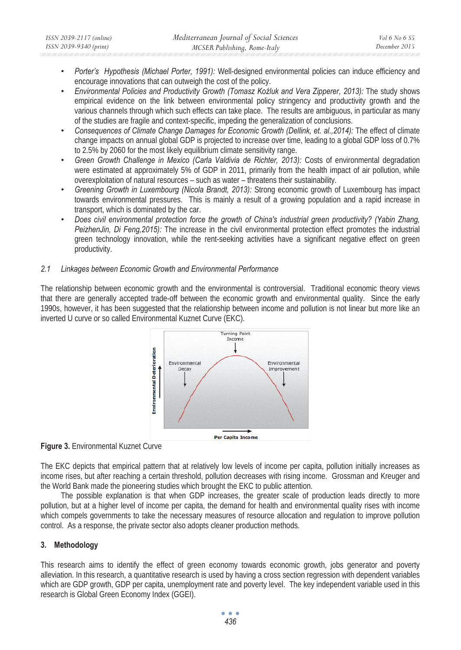- *Porter's Hypothesis (Michael Porter, 1991):* Well-designed environmental policies can induce efficiency and encourage innovations that can outweigh the cost of the policy.
- *Environmental Policies and Productivity Growth (Tomasz KoĨluk and Vera Zipperer, 2013):* The study shows empirical evidence on the link between environmental policy stringency and productivity growth and the various channels through which such effects can take place. The results are ambiguous, in particular as many of the studies are fragile and context-specific, impeding the generalization of conclusions.
- *Consequences of Climate Change Damages for Economic Growth (Dellink, et. al.,2014):* The effect of climate change impacts on annual global GDP is projected to increase over time, leading to a global GDP loss of 0.7% to 2.5% by 2060 for the most likely equilibrium climate sensitivity range.
- Green Growth Challenge in Mexico (Carla Valdivia de Richter, 2013): Costs of environmental degradation were estimated at approximately 5% of GDP in 2011, primarily from the health impact of air pollution, while overexploitation of natural resources – such as water – threatens their sustainability.
- *Greening Growth in Luxembourg (Nicola Brandt, 2013):* Strong economic growth of Luxembourg has impact towards environmental pressures. This is mainly a result of a growing population and a rapid increase in transport, which is dominated by the car.
- *Does civil environmental protection force the growth of China's industrial green productivity? (Yabin Zhang, PeizhenJin, Di Feng,2015):* The increase in the civil environmental protection effect promotes the industrial green technology innovation, while the rent-seeking activities have a significant negative effect on green productivity.

# *2.1 Linkages between Economic Growth and Environmental Performance*

The relationship between economic growth and the environmental is controversial. Traditional economic theory views that there are generally accepted trade-off between the economic growth and environmental quality. Since the early 1990s, however, it has been suggested that the relationship between income and pollution is not linear but more like an inverted U curve or so called Environmental Kuznet Curve (EKC).



**Figure 3.** Environmental Kuznet Curve

The EKC depicts that empirical pattern that at relatively low levels of income per capita, pollution initially increases as income rises, but after reaching a certain threshold, pollution decreases with rising income. Grossman and Kreuger and the World Bank made the pioneering studies which brought the EKC to public attention.

The possible explanation is that when GDP increases, the greater scale of production leads directly to more pollution, but at a higher level of income per capita, the demand for health and environmental quality rises with income which compels governments to take the necessary measures of resource allocation and regulation to improve pollution control. As a response, the private sector also adopts cleaner production methods.

# **3. Methodology**

This research aims to identify the effect of green economy towards economic growth, jobs generator and poverty alleviation. In this research, a quantitative research is used by having a cross section regression with dependent variables which are GDP growth, GDP per capita, unemployment rate and poverty level. The key independent variable used in this research is Global Green Economy Index (GGEI).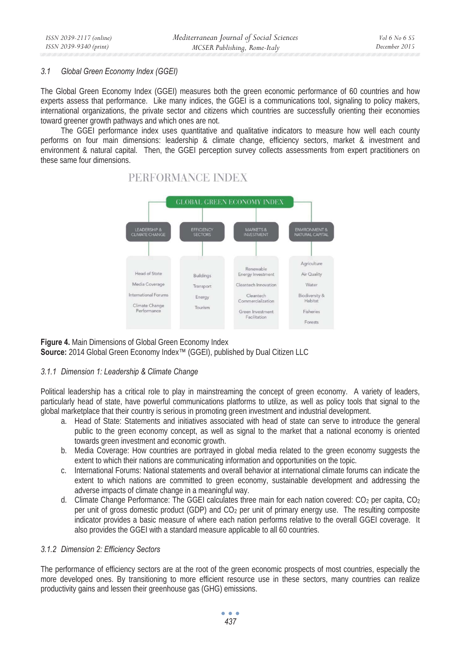#### *3.1 Global Green Economy Index (GGEI)*

The Global Green Economy Index (GGEI) measures both the green economic performance of 60 countries and how experts assess that performance. Like many indices, the GGEI is a communications tool, signaling to policy makers, international organizations, the private sector and citizens which countries are successfully orienting their economies toward greener growth pathways and which ones are not.

The GGEI performance index uses quantitative and qualitative indicators to measure how well each county performs on four main dimensions: leadership & climate change, efficiency sectors, market & investment and environment & natural capital. Then, the GGEI perception survey collects assessments from expert practitioners on these same four dimensions.



# PERFORMANCE INDEX

**Figure 4.** Main Dimensions of Global Green Economy Index **Source:** 2014 Global Green Economy Index™ (GGEI), published by Dual Citizen LLC

#### *3.1.1 Dimension 1: Leadership & Climate Change*

Political leadership has a critical role to play in mainstreaming the concept of green economy. A variety of leaders, particularly head of state, have powerful communications platforms to utilize, as well as policy tools that signal to the global marketplace that their country is serious in promoting green investment and industrial development.

- a. Head of State: Statements and initiatives associated with head of state can serve to introduce the general public to the green economy concept, as well as signal to the market that a national economy is oriented towards green investment and economic growth.
- b. Media Coverage: How countries are portrayed in global media related to the green economy suggests the extent to which their nations are communicating information and opportunities on the topic.
- c. International Forums: National statements and overall behavior at international climate forums can indicate the extent to which nations are committed to green economy, sustainable development and addressing the adverse impacts of climate change in a meaningful way.
- d. Climate Change Performance: The GGEI calculates three main for each nation covered: CO<sub>2</sub> per capita, CO<sub>2</sub> per unit of gross domestic product (GDP) and CO2 per unit of primary energy use. The resulting composite indicator provides a basic measure of where each nation performs relative to the overall GGEI coverage. It also provides the GGEI with a standard measure applicable to all 60 countries.

# *3.1.2 Dimension 2: Efficiency Sectors*

The performance of efficiency sectors are at the root of the green economic prospects of most countries, especially the more developed ones. By transitioning to more efficient resource use in these sectors, many countries can realize productivity gains and lessen their greenhouse gas (GHG) emissions.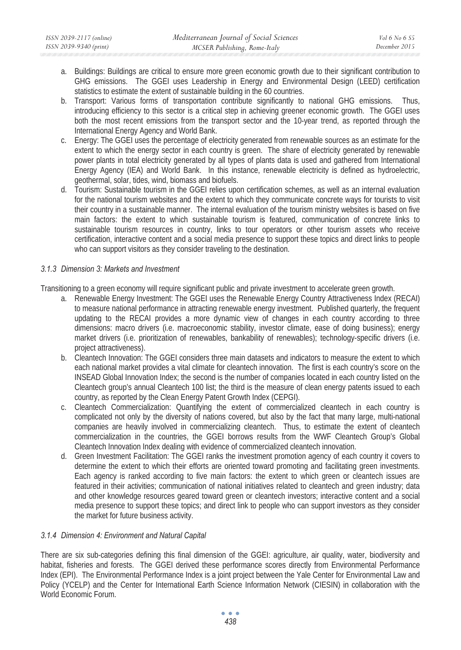- a. Buildings: Buildings are critical to ensure more green economic growth due to their significant contribution to GHG emissions. The GGEI uses Leadership in Energy and Environmental Design (LEED) certification statistics to estimate the extent of sustainable building in the 60 countries.
- b. Transport: Various forms of transportation contribute significantly to national GHG emissions. Thus, introducing efficiency to this sector is a critical step in achieving greener economic growth. The GGEI uses both the most recent emissions from the transport sector and the 10-year trend, as reported through the International Energy Agency and World Bank.
- c. Energy: The GGEI uses the percentage of electricity generated from renewable sources as an estimate for the extent to which the energy sector in each country is green. The share of electricity generated by renewable power plants in total electricity generated by all types of plants data is used and gathered from International Energy Agency (IEA) and World Bank. In this instance, renewable electricity is defined as hydroelectric, geothermal, solar, tides, wind, biomass and biofuels.
- d. Tourism: Sustainable tourism in the GGEI relies upon certification schemes, as well as an internal evaluation for the national tourism websites and the extent to which they communicate concrete ways for tourists to visit their country in a sustainable manner. The internal evaluation of the tourism ministry websites is based on five main factors: the extent to which sustainable tourism is featured, communication of concrete links to sustainable tourism resources in country, links to tour operators or other tourism assets who receive certification, interactive content and a social media presence to support these topics and direct links to people who can support visitors as they consider traveling to the destination.

# *3.1.3 Dimension 3: Markets and Investment*

Transitioning to a green economy will require significant public and private investment to accelerate green growth.

- a. Renewable Energy Investment: The GGEI uses the Renewable Energy Country Attractiveness Index (RECAI) to measure national performance in attracting renewable energy investment. Published quarterly, the frequent updating to the RECAI provides a more dynamic view of changes in each country according to three dimensions: macro drivers (i.e. macroeconomic stability, investor climate, ease of doing business); energy market drivers (i.e. prioritization of renewables, bankability of renewables); technology-specific drivers (i.e. project attractiveness).
- b. Cleantech Innovation: The GGEI considers three main datasets and indicators to measure the extent to which each national market provides a vital climate for cleantech innovation. The first is each country's score on the INSEAD Global Innovation Index; the second is the number of companies located in each country listed on the Cleantech group's annual Cleantech 100 list; the third is the measure of clean energy patents issued to each country, as reported by the Clean Energy Patent Growth Index (CEPGI).
- c. Cleantech Commercialization: Quantifying the extent of commercialized cleantech in each country is complicated not only by the diversity of nations covered, but also by the fact that many large, multi-national companies are heavily involved in commercializing cleantech. Thus, to estimate the extent of cleantech commercialization in the countries, the GGEI borrows results from the WWF Cleantech Group's Global Cleantech Innovation Index dealing with evidence of commercialized cleantech innovation.
- d. Green Investment Facilitation: The GGEI ranks the investment promotion agency of each country it covers to determine the extent to which their efforts are oriented toward promoting and facilitating green investments. Each agency is ranked according to five main factors: the extent to which green or cleantech issues are featured in their activities; communication of national initiatives related to cleantech and green industry; data and other knowledge resources geared toward green or cleantech investors; interactive content and a social media presence to support these topics; and direct link to people who can support investors as they consider the market for future business activity.

#### *3.1.4 Dimension 4: Environment and Natural Capital*

There are six sub-categories defining this final dimension of the GGEI: agriculture, air quality, water, biodiversity and habitat, fisheries and forests. The GGEI derived these performance scores directly from Environmental Performance Index (EPI). The Environmental Performance Index is a joint project between the Yale Center for Environmental Law and Policy (YCELP) and the Center for International Earth Science Information Network (CIESIN) in collaboration with the World Economic Forum.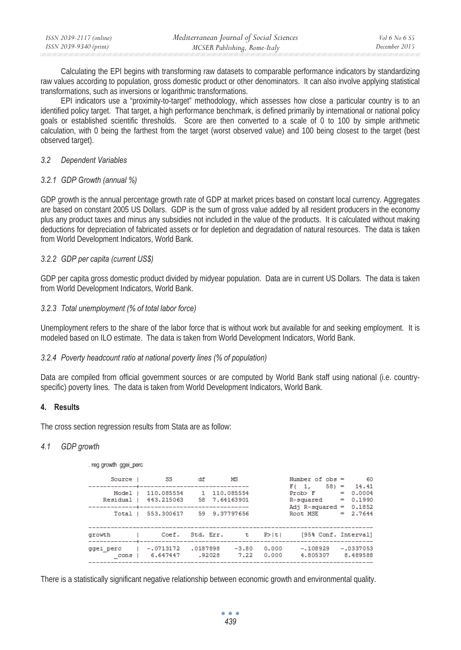| ISSN 2039-2117 (online) | Mediterranean Journal of Social Sciences | Vol 6 No 6 $S5$ |
|-------------------------|------------------------------------------|-----------------|
| ISSN 2039-9340 (print)  | MCSER Publishing, Rome-Italy             | December 2015   |

Calculating the EPI begins with transforming raw datasets to comparable performance indicators by standardizing raw values according to population, gross domestic product or other denominators. It can also involve applying statistical transformations, such as inversions or logarithmic transformations.

EPI indicators use a "proximity-to-target" methodology, which assesses how close a particular country is to an identified policy target. That target, a high performance benchmark, is defined primarily by international or national policy goals or established scientific thresholds. Score are then converted to a scale of 0 to 100 by simple arithmetic calculation, with 0 being the farthest from the target (worst observed value) and 100 being closest to the target (best observed target).

#### *3.2 Dependent Variables*

#### *3.2.1 GDP Growth (annual %)*

GDP growth is the annual percentage growth rate of GDP at market prices based on constant local currency. Aggregates are based on constant 2005 US Dollars. GDP is the sum of gross value added by all resident producers in the economy plus any product taxes and minus any subsidies not included in the value of the products. It is calculated without making deductions for depreciation of fabricated assets or for depletion and degradation of natural resources. The data is taken from World Development Indicators, World Bank.

#### *3.2.2 GDP per capita (current US\$)*

GDP per capita gross domestic product divided by midyear population. Data are in current US Dollars. The data is taken from World Development Indicators, World Bank.

#### *3.2.3 Total unemployment (% of total labor force)*

Unemployment refers to the share of the labor force that is without work but available for and seeking employment. It is modeled based on ILO estimate. The data is taken from World Development Indicators, World Bank.

#### *3.2.4 Poverty headcount ratio at national poverty lines (% of population)*

Data are compiled from official government sources or are computed by World Bank staff using national (i.e. countryspecific) poverty lines. The data is taken from World Development Indicators, World Bank.

#### **4. Results**

The cross section regression results from Stata are as follow:

#### *4.1 GDP growth*

#### . reg growth ggei perc

| SS S                    | df         | MS                                    |                                                                |                        |          | 60                                                                     |
|-------------------------|------------|---------------------------------------|----------------------------------------------------------------|------------------------|----------|------------------------------------------------------------------------|
|                         |            |                                       |                                                                | F(1,                   |          | $58 = 14.41$<br>0.0004                                                 |
| 443.215063              |            |                                       |                                                                | R-squared              | =        | 0.1990                                                                 |
| 553.300617              |            |                                       |                                                                | Root, MSE              |          | 0.1852<br>$= 2.7644$                                                   |
|                         |            |                                       | P >  t                                                         |                        |          |                                                                        |
| $-.0713172$<br>6.647447 |            | $-3.80$<br>7.22                       | 0.000<br>0.000                                                 | $-.108929$<br>4.805307 |          | $-.0337053$<br>8.489588                                                |
|                         | 110.085554 | Coef. Std. Err.<br>.0187898<br>.92028 | 1 110,085554<br>58 7.64163901<br>59 9.37797656<br>$\mathbf{t}$ |                        | Prob > F | Number of $obs =$<br>$=$<br>Adj $R$ -squared =<br>[95% Conf. Interval] |

There is a statistically significant negative relationship between economic growth and environmental quality.

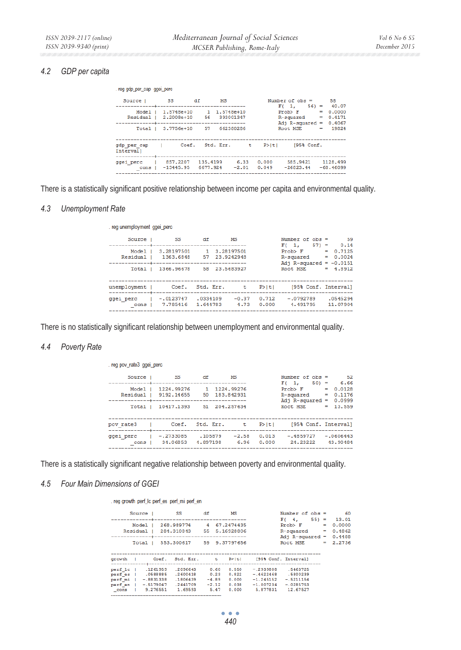#### *4.2 GDP per capita*

| . reg gdp per cap ggei perc  |                                   |                      |                 |                |                                 |     |                         |
|------------------------------|-----------------------------------|----------------------|-----------------|----------------|---------------------------------|-----|-------------------------|
| Source                       | - SS                              | df<br>MS             |                 |                | Number of $obs = 58$            |     |                         |
| Model                        | $1.5748e+10$                      | 1 1.5748e+10         |                 |                | F(1,<br>Prob > F                | $=$ | $56 = 40.07$<br>0.0000  |
| Residual                     | 2.2008e+10 56 393001347           |                      |                 |                | R-squared<br>Adj $R$ -squared = | -   | 0.4171<br>0.4067        |
| Total                        | 3.7756e+10                        | 57                   | 662380286       |                | Root MSE                        | $=$ | 19824                   |
| gdp per cap<br>Intervall     | Coef.<br>the contract of the con- | Std. Err.            | $\mathbf{t}$    | P >  t         | $195%$ Conf.                    |     |                         |
| qqei perc<br>$cons$ $\vdash$ | 857.2207<br>$-13445.95$           | 135.4199<br>6677.924 | 6.33<br>$-2.01$ | 0.000<br>0.049 | 585.9421<br>$-26823.44$         |     | 1128.499<br>$-68.46099$ |

There is a statistically significant positive relationship between income per capita and environmental quality.

#### *4.3 Unemployment Rate*

| . reg unemployment gget perc |                         |                      |                               |                |                                                              |                                           |
|------------------------------|-------------------------|----------------------|-------------------------------|----------------|--------------------------------------------------------------|-------------------------------------------|
| Source                       | - SS                    | df                   | MS                            |                | Number of $obs =$                                            | 59                                        |
| Model<br><b>Residual</b>     | 3.28197501<br>1363.6848 |                      | 1 3.28197501<br>57 23.9242948 |                | F(1.<br>$Prob$ $F$<br>R-squared<br>Adj R-squared = $-0.0151$ | $57) = 0.14$<br>$= 0.7125$<br>0.0024<br>- |
| Total                        | 1366,96678              |                      | 58 23.5683927                 |                | Root MSE                                                     | $= 4.8912$                                |
| unemployment                 |                         | Coef. Std. Err.      | . <del>. .</del>              | P >  t         | [95% Conf. Interval]                                         |                                           |
| qqei perc<br>cons            | $-.0123747$<br>7.785416 | .0334109<br>1.644783 | $-0.37$<br>4.73               | 0.712<br>0.000 | $-.0792789$<br>4.491795                                      | .0545294<br>11,07904                      |

There is no statistically significant relationship between unemployment and environmental quality.

# *4.4 Poverty Rate*

| . reg pov_rate3 ggei_perc     |                          |                     |                             |                |                                            |            |                          |
|-------------------------------|--------------------------|---------------------|-----------------------------|----------------|--------------------------------------------|------------|--------------------------|
| Source                        | <b>SS</b>                | df                  | MS                          |                | Number of $obs =$                          |            | 52                       |
| Mode <sub>1</sub><br>Residual | 1224.99276<br>9192.14655 | $\mathbf{1}$        | 1224,99276<br>50 183.842931 |                | $501 =$<br>F(1,<br>$Prob$ $F$<br>R-squared | $=$<br>$=$ | 6.66<br>0.0128<br>0.1176 |
| Total                         | 10417.1393               |                     | 51 204, 257634              |                | $Adj$ R-squared =<br>Root, MSE             |            | 0.0999<br>$= 13.559$     |
| pov rate3                     | Coef. Std. Err. t        |                     |                             | P >  t         | [95% Conf. Interval]                       |            |                          |
| ggei perc<br>cons             | $-.2733085$<br>34.06853  | .105879<br>4.897198 | $-2.58$<br>6.96             | 0.013<br>0.000 | $-.4859727$<br>24.23222                    |            | $-.0606443$<br>43.90484  |

There is a statistically significant negative relationship between poverty and environmental quality.

#### *4.5 Four Main Dimensions of GGEI*

#### . reg growth perf Ic perf es perf mi perf en

| Source                                               | SS                       | df              | МS                       |                         | Number of $obs =$<br>$551 =$<br>$F(-4,$     |     | -60<br>13.01               |
|------------------------------------------------------|--------------------------|-----------------|--------------------------|-------------------------|---------------------------------------------|-----|----------------------------|
| Model<br>Residual                                    | 268.989774<br>284.310843 | 4<br>55.        | 67.2474435<br>5.16928806 |                         | Prob > F<br>R-squared<br>Adj $R$ -squared = | $=$ | 0.0000<br>0.4862<br>0.4488 |
| Total                                                | 553.300617               |                 | 59 9.37797656            |                         | Root MSE                                    | $=$ | 2.2736                     |
|                                                      |                          |                 |                          |                         |                                             |     |                            |
| Coef.<br>growth                                      | Std. Err.                | $\pm$           | P >  t                   | [95% Conf. Interval]    |                                             |     |                            |
|                                                      |                          |                 |                          |                         |                                             |     |                            |
| .1261959<br>perf lc                                  | .2096643                 | 0.60            | 0.550                    | $-2939808$              | .5463725                                    |     |                            |
| 0588885<br>perf es                                   | .2600418                 | 0.23            | 0.822                    | $-.4622468$             | .5800239                                    |     |                            |
| perf mi<br>$-.8831338$                               | .1806439                 | $-4.89$         | 0.000                    | $-1.245152$             | $-.5211154$                                 |     |                            |
| perf en<br>$-.5179047$<br>9.276551<br>$_{\rm -cons}$ | .2441709<br>1.69593      | $-2.12$<br>5.47 | 0.038<br>0.000           | $-1.007234$<br>5.877831 | $-.0285753$<br>12.67527                     |     |                            |

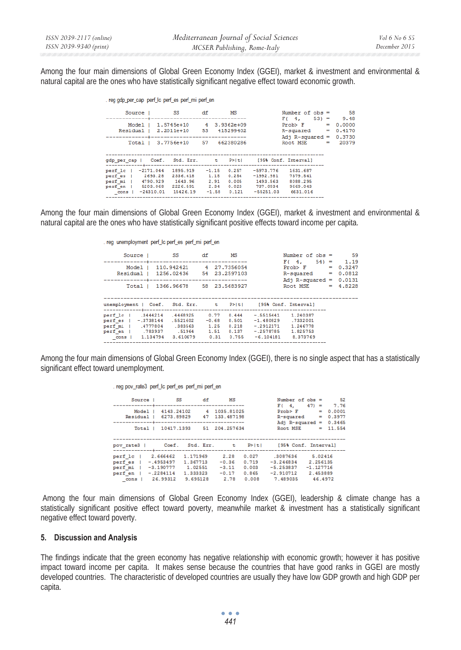Among the four main dimensions of Global Green Economy Index (GGEI), market & investment and environmental & natural capital are the ones who have statistically significant negative effect toward economic growth.

| . reg gdp_per_cap_perf_lc_perf_es_perf_mi_perf_en                                                        |                                                                                          |                 |                                       |                                                                                                                 |                                                                                     |            |                                     |
|----------------------------------------------------------------------------------------------------------|------------------------------------------------------------------------------------------|-----------------|---------------------------------------|-----------------------------------------------------------------------------------------------------------------|-------------------------------------------------------------------------------------|------------|-------------------------------------|
| Source                                                                                                   | - 55                                                                                     | df              | МS                                    |                                                                                                                 | Number of $obs = 58$                                                                |            |                                     |
| Model I<br>Total                                                                                         | 1.5745e+10 4 3.9362e+09<br>Residual   2.2011e+10 53 415299402<br>3.7756e+10 57 662380286 |                 |                                       |                                                                                                                 | $F(4, 53) = 9.48$<br>Prob > F<br>$R$ -squared $=$<br>Adj $R$ -squared =<br>Root MSE | - 1<br>$=$ | 0.0000<br>0.4170<br>0.3730<br>20379 |
| gdp per cap   Coef. Std. Err. t P> t  [95% Conf. Interval]                                               |                                                                                          |                 |                                       |                                                                                                                 |                                                                                     |            |                                     |
| perf 1c   -2171.044<br>perf es   2693.28<br>perf mi   4790.929<br>perf en   5203.068<br>cons   -24310.01 | 2336.418<br>1643.96<br>2226.591 2.34<br>15426.19                                         | 2.91<br>$-1.58$ | 1.15 0.254<br>0.005<br>0.023<br>0.121 | 1895.919 -1.15 0.257 -5973.776 1631.687<br>$-1992.981$ 7379.541<br>1493.563 8088.295<br>737.0934<br>$-55251.03$ | 9669.043<br>6631.016                                                                |            |                                     |

Among the four main dimensions of Global Green Economy Index (GGEI), market & investment and environmental & natural capital are the ones who have statistically significant positive effects toward income per capita.

|  |  |  | . reg unemployment perf_lc perf_es perf_mi perf_en |
|--|--|--|----------------------------------------------------|
|--|--|--|----------------------------------------------------|

| Source                                                                  | SS <sub>3</sub>                                                                     | df                                      | МS                                        | Number of $obs =$                                                                                                                  |     | 59                       |
|-------------------------------------------------------------------------|-------------------------------------------------------------------------------------|-----------------------------------------|-------------------------------------------|------------------------------------------------------------------------------------------------------------------------------------|-----|--------------------------|
| Mode 1<br>Residual                                                      | 110.942421<br>1256.02436 54 23.2597103                                              |                                         | 4 27.7356054                              | $54 =$<br>$F(-4, 4)$<br>Prob > F<br>$R$ -squared $=$                                                                               | -   | 1.19<br>0.3247<br>0.0812 |
| Total                                                                   | 1366.96678 58 23.5683927                                                            |                                         |                                           | Adj $R$ -squared =<br>Root, MSE                                                                                                    | $=$ | 0.0131<br>4.8228         |
|                                                                         | unemployment   Coef. Std. Err. t P> t                                               |                                         |                                           | [95% Conf. Interval]                                                                                                               |     |                          |
| perf 1c   .3444214<br>perf es   -.3738144<br>perf mi   .4777804<br>cons | .4468925<br>.5521602<br>.383563<br>perf en   .783937 .51964<br>3.610679<br>1.134794 | 0.77<br>$-0.68$<br>1.25<br>1.51<br>0.31 | 0.444<br>0.501<br>0.218<br>0.137<br>0.755 | $-.5515441$<br>1.240387<br>$-1.480829$<br>.7332001<br>$-2912171$<br>1.246778<br>1.825753<br>$-.2578785$<br>8.373769<br>$-6.104181$ |     |                          |

Among the four main dimensions of Global Green Economy Index (GGEI), there is no single aspect that has a statistically significant effect toward unemployment.

. reg pov\_rate3 perf\_lc perf\_es perf\_mi perf\_en

| Source 1                   | - SS                                               | df                  | MS                         |                         | Number of $obs =$<br>$F(-4)$           | 47)                     | $=$      | - 52<br>7.76     |
|----------------------------|----------------------------------------------------|---------------------|----------------------------|-------------------------|----------------------------------------|-------------------------|----------|------------------|
| Model<br>Residual          | 4143.24102<br>6273.89829                           | 4<br>47             | 1035.81025<br>133.487198   |                         | Prob > F<br>R-squared                  |                         | -<br>$=$ | 0.0001<br>0.3977 |
| Total                      | 10417.1393                                         | 51.                 | 204.257634                 |                         | Adj $R$ -squared =<br>Root MSE         |                         | -        | 0.3465<br>11.554 |
|                            |                                                    |                     |                            |                         |                                        |                         |          |                  |
| pov rate3                  | Coef.                                              | Std. Err.           | <b>t</b>                   | P >  t                  | [95% Conf. Interval]                   |                         |          |                  |
| perf lc<br>perf es         | 2.666462<br>1.171969<br>$-.4953497$<br>1.367713    |                     | 2.28<br>$-0.36$            | 0.027<br>0.719          | .3087636<br>$-3.246834$                | 2.256135                | 5.02416  |                  |
| perf mi<br>perf en<br>cons | $-3.190777$<br>$-.2284114$<br>1.333323<br>26.99312 | 1.02551<br>9.695128 | $-3.11$<br>$-0.17$<br>2.78 | 0.003<br>0.865<br>0.008 | $-5.253837$<br>$-2.910712$<br>7.489035 | $-1.127716$<br>2.453889 |          | 46.4972          |

 Among the four main dimensions of Global Green Economy Index (GGEI), leadership & climate change has a statistically significant positive effect toward poverty, meanwhile market & investment has a statistically significant negative effect toward poverty.

#### **5. Discussion and Analysis**

The findings indicate that the green economy has negative relationship with economic growth; however it has positive impact toward income per capita. It makes sense because the countries that have good ranks in GGEI are mostly developed countries. The characteristic of developed countries are usually they have low GDP growth and high GDP per capita.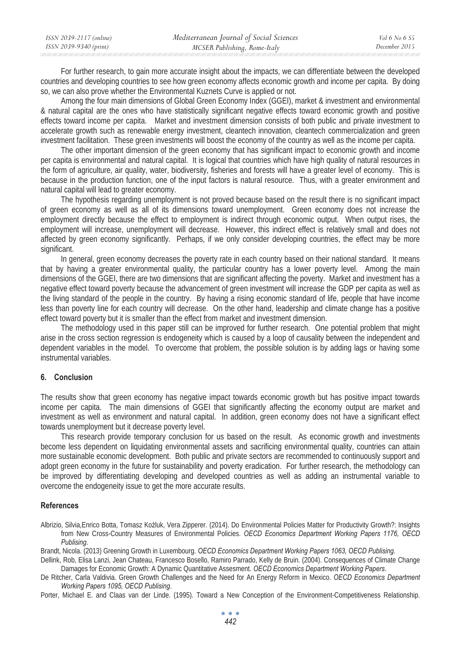| ISSN 2039-2117 (online) | Mediterranean Journal of Social Sciences | Vol 6 No 6 S5 |
|-------------------------|------------------------------------------|---------------|
| ISSN 2039-9340 (print)  | MCSER Publishing, Rome-Italy             | December 2015 |

For further research, to gain more accurate insight about the impacts, we can differentiate between the developed countries and developing countries to see how green economy affects economic growth and income per capita. By doing so, we can also prove whether the Environmental Kuznets Curve is applied or not.

Among the four main dimensions of Global Green Economy Index (GGEI), market & investment and environmental & natural capital are the ones who have statistically significant negative effects toward economic growth and positive effects toward income per capita. Market and investment dimension consists of both public and private investment to accelerate growth such as renewable energy investment, cleantech innovation, cleantech commercialization and green investment facilitation. These green investments will boost the economy of the country as well as the income per capita.

The other important dimension of the green economy that has significant impact to economic growth and income per capita is environmental and natural capital. It is logical that countries which have high quality of natural resources in the form of agriculture, air quality, water, biodiversity, fisheries and forests will have a greater level of economy. This is because in the production function, one of the input factors is natural resource. Thus, with a greater environment and natural capital will lead to greater economy.

The hypothesis regarding unemployment is not proved because based on the result there is no significant impact of green economy as well as all of its dimensions toward unemployment. Green economy does not increase the employment directly because the effect to employment is indirect through economic output. When output rises, the employment will increase, unemployment will decrease. However, this indirect effect is relatively small and does not affected by green economy significantly. Perhaps, if we only consider developing countries, the effect may be more significant.

In general, green economy decreases the poverty rate in each country based on their national standard. It means that by having a greater environmental quality, the particular country has a lower poverty level. Among the main dimensions of the GGEI, there are two dimensions that are significant affecting the poverty. Market and investment has a negative effect toward poverty because the advancement of green investment will increase the GDP per capita as well as the living standard of the people in the country. By having a rising economic standard of life, people that have income less than poverty line for each country will decrease. On the other hand, leadership and climate change has a positive effect toward poverty but it is smaller than the effect from market and investment dimension.

The methodology used in this paper still can be improved for further research. One potential problem that might arise in the cross section regression is endogeneity which is caused by a loop of causality between the independent and dependent variables in the model. To overcome that problem, the possible solution is by adding lags or having some instrumental variables.

#### **6. Conclusion**

The results show that green economy has negative impact towards economic growth but has positive impact towards income per capita. The main dimensions of GGEI that significantly affecting the economy output are market and investment as well as environment and natural capital. In addition, green economy does not have a significant effect towards unemployment but it decrease poverty level.

This research provide temporary conclusion for us based on the result. As economic growth and investments become less dependent on liquidating environmental assets and sacrificing environmental quality, countries can attain more sustainable economic development. Both public and private sectors are recommended to continuously support and adopt green economy in the future for sustainability and poverty eradication. For further research, the methodology can be improved by differentiating developing and developed countries as well as adding an instrumental variable to overcome the endogeneity issue to get the more accurate results.

#### **References**

Albrizio, Silvia, Enrico Botta, Tomasz Koźluk, Vera Zipperer. (2014). Do Environmental Policies Matter for Productivity Growth?: Insights from New Cross-Country Measures of Environmental Policies. *OECD Economics Department Working Papers 1176, OECD Publising*.

Brandt, Nicola. (2013) Greening Growth in Luxembourg. *OECD Economics Department Working Papers 1063, OECD Publising.*

Dellink, Rob, Elisa Lanzi, Jean Chateau, Francesco Bosello, Ramiro Parrado, Kelly de Bruin. (2004). Consequences of Climate Change Damages for Economic Growth: A Dynamic Quantitative Assesment. *OECD Economics Department Working Papers*.

De Ritcher, Carla Valdivia. Green Growth Challenges and the Need for An Energy Reform in Mexico. *OECD Economics Department Working Papers 1095, OECD Publising*.

Porter, Michael E. and Claas van der Linde. (1995). Toward a New Conception of the Environment-Competitiveness Relationship.